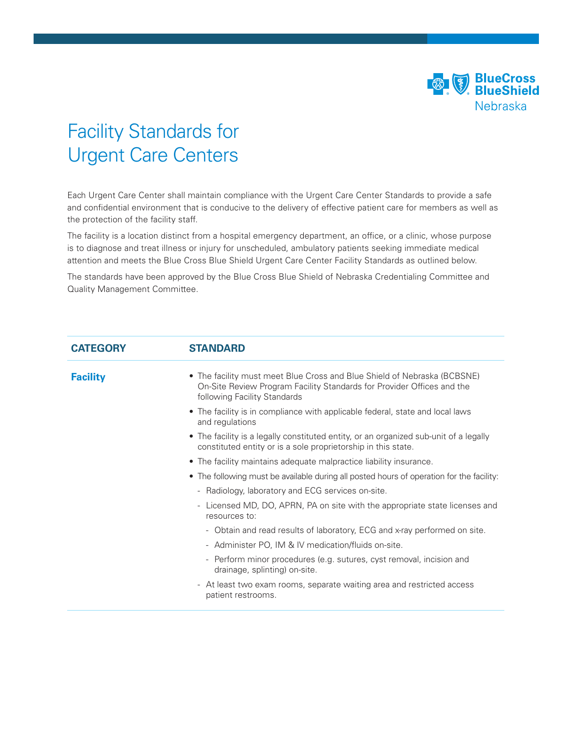

## Facility Standards for Urgent Care Centers

Each Urgent Care Center shall maintain compliance with the Urgent Care Center Standards to provide a safe and confidential environment that is conducive to the delivery of effective patient care for members as well as the protection of the facility staff.

The facility is a location distinct from a hospital emergency department, an office, or a clinic, whose purpose is to diagnose and treat illness or injury for unscheduled, ambulatory patients seeking immediate medical attention and meets the Blue Cross Blue Shield Urgent Care Center Facility Standards as outlined below.

The standards have been approved by the Blue Cross Blue Shield of Nebraska Credentialing Committee and Quality Management Committee.

| <b>CATEGORY</b> | <b>STANDARD</b>                                                                                                                                                                    |
|-----------------|------------------------------------------------------------------------------------------------------------------------------------------------------------------------------------|
| <b>Facility</b> | • The facility must meet Blue Cross and Blue Shield of Nebraska (BCBSNE)<br>On-Site Review Program Facility Standards for Provider Offices and the<br>following Facility Standards |
|                 | • The facility is in compliance with applicable federal, state and local laws<br>and regulations                                                                                   |
|                 | • The facility is a legally constituted entity, or an organized sub-unit of a legally<br>constituted entity or is a sole proprietorship in this state.                             |
|                 | • The facility maintains adequate malpractice liability insurance.                                                                                                                 |
|                 | • The following must be available during all posted hours of operation for the facility:                                                                                           |
|                 | - Radiology, laboratory and ECG services on-site.                                                                                                                                  |
|                 | - Licensed MD, DO, APRN, PA on site with the appropriate state licenses and<br>resources to:                                                                                       |
|                 | - Obtain and read results of laboratory, ECG and x-ray performed on site.                                                                                                          |
|                 | - Administer PO, IM & IV medication/fluids on-site.                                                                                                                                |
|                 | - Perform minor procedures (e.g. sutures, cyst removal, incision and<br>drainage, splinting) on-site.                                                                              |
|                 | - At least two exam rooms, separate waiting area and restricted access<br>patient restrooms.                                                                                       |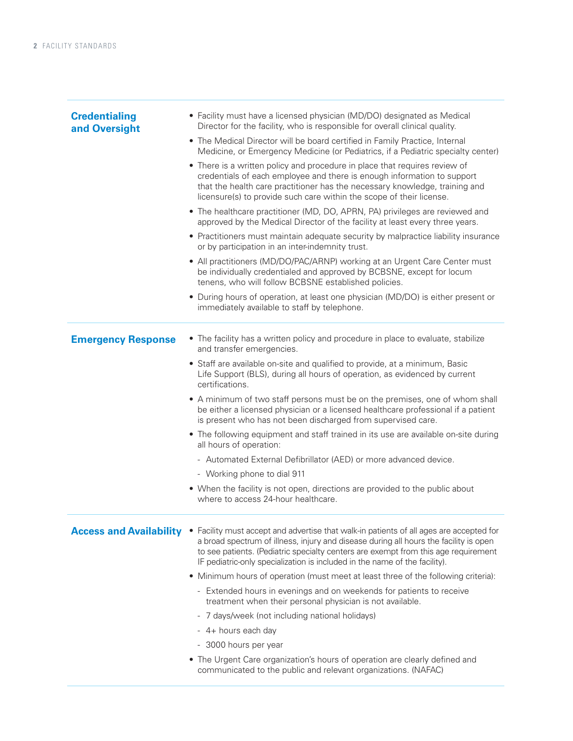| <b>Credentialing</b><br>and Oversight | • Facility must have a licensed physician (MD/DO) designated as Medical<br>Director for the facility, who is responsible for overall clinical quality.                                                                                                                                                                                                                       |
|---------------------------------------|------------------------------------------------------------------------------------------------------------------------------------------------------------------------------------------------------------------------------------------------------------------------------------------------------------------------------------------------------------------------------|
|                                       | • The Medical Director will be board certified in Family Practice, Internal<br>Medicine, or Emergency Medicine (or Pediatrics, if a Pediatric specialty center)                                                                                                                                                                                                              |
|                                       | • There is a written policy and procedure in place that requires review of<br>credentials of each employee and there is enough information to support<br>that the health care practitioner has the necessary knowledge, training and<br>licensure(s) to provide such care within the scope of their license.                                                                 |
|                                       | • The healthcare practitioner (MD, DO, APRN, PA) privileges are reviewed and<br>approved by the Medical Director of the facility at least every three years.                                                                                                                                                                                                                 |
|                                       | • Practitioners must maintain adequate security by malpractice liability insurance<br>or by participation in an inter-indemnity trust.                                                                                                                                                                                                                                       |
|                                       | • All practitioners (MD/DO/PAC/ARNP) working at an Urgent Care Center must<br>be individually credentialed and approved by BCBSNE, except for locum<br>tenens, who will follow BCBSNE established policies.                                                                                                                                                                  |
|                                       | • During hours of operation, at least one physician (MD/DO) is either present or<br>immediately available to staff by telephone.                                                                                                                                                                                                                                             |
| <b>Emergency Response</b>             | • The facility has a written policy and procedure in place to evaluate, stabilize<br>and transfer emergencies.                                                                                                                                                                                                                                                               |
|                                       | • Staff are available on-site and qualified to provide, at a minimum, Basic<br>Life Support (BLS), during all hours of operation, as evidenced by current<br>certifications.                                                                                                                                                                                                 |
|                                       | • A minimum of two staff persons must be on the premises, one of whom shall<br>be either a licensed physician or a licensed healthcare professional if a patient<br>is present who has not been discharged from supervised care.                                                                                                                                             |
|                                       | • The following equipment and staff trained in its use are available on-site during<br>all hours of operation:                                                                                                                                                                                                                                                               |
|                                       | - Automated External Defibrillator (AED) or more advanced device.                                                                                                                                                                                                                                                                                                            |
|                                       | - Working phone to dial 911                                                                                                                                                                                                                                                                                                                                                  |
|                                       | • When the facility is not open, directions are provided to the public about<br>where to access 24-hour healthcare.                                                                                                                                                                                                                                                          |
|                                       | Access and Availability . Facility must accept and advertise that walk-in patients of all ages are accepted for<br>a broad spectrum of illness, injury and disease during all hours the facility is open<br>to see patients. (Pediatric specialty centers are exempt from this age requirement<br>IF pediatric-only specialization is included in the name of the facility). |
|                                       | • Minimum hours of operation (must meet at least three of the following criteria):                                                                                                                                                                                                                                                                                           |
|                                       | - Extended hours in evenings and on weekends for patients to receive<br>treatment when their personal physician is not available.                                                                                                                                                                                                                                            |
|                                       | - 7 days/week (not including national holidays)                                                                                                                                                                                                                                                                                                                              |
|                                       | - 4+ hours each day                                                                                                                                                                                                                                                                                                                                                          |
|                                       | - 3000 hours per year                                                                                                                                                                                                                                                                                                                                                        |
|                                       | • The Urgent Care organization's hours of operation are clearly defined and<br>communicated to the public and relevant organizations. (NAFAC)                                                                                                                                                                                                                                |